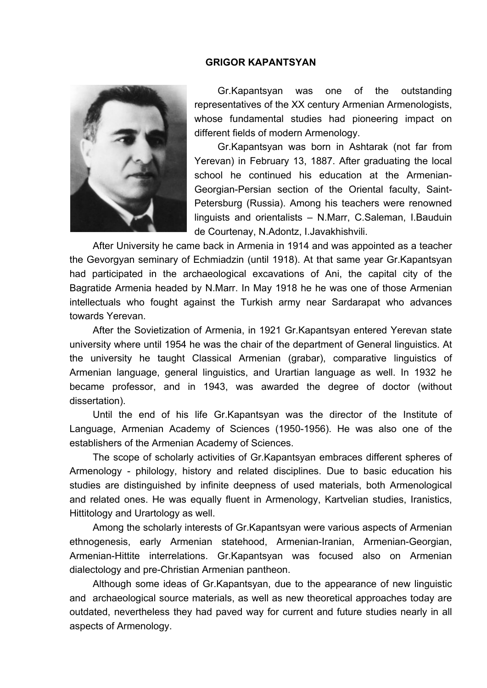## **GRIGOR KAPANTSYAN**



Gr.Kapantsyan was one of the outstanding representatives of the XX century Armenian Armenologists, whose fundamental studies had pioneering impact on different fields of modern Armenology.

Gr.Kapantsyan was born in Ashtarak (not far from Yerevan) in February 13, 1887. After graduating the local school he continued his education at the Armenian-Georgian-Persian section of the Oriental faculty, Saint-Petersburg (Russia). Among his teachers were renowned linguists and orientalists – N.Marr, C.Saleman, I.Bauduin de Courtenay, N.Adontz, I.Javakhishvili.

After University he came back in Armenia in 1914 and was appointed as a teacher the Gevorgyan seminary of Echmiadzin (until 1918). At that same year Gr.Kapantsyan had participated in the archaeological excavations of Ani, the capital city of the Bagratide Armenia headed by N.Marr. In May 1918 he he was one of those Armenian intellectuals who fought against the Turkish army near Sardarapat who advances towards Yerevan.

After the Sovietization of Armenia, in 1921 Gr.Kapantsyan entered Yerevan state university where until 1954 he was the chair of the department of General linguistics. At the university he taught Classical Armenian (grabar), comparative linguistics of Armenian language, general linguistics, and Urartian language as well. In 1932 he became professor, and in 1943, was awarded the degree of doctor (without dissertation).

Until the end of his life Gr.Kapantsyan was the director of the Institute of Language, Armenian Academy of Sciences (1950-1956). He was also one of the establishers of the Armenian Academy of Sciences.

The scope of scholarly activities of Gr.Kapantsyan embraces different spheres of Armenology - philology, history and related disciplines. Due to basic education his studies are distinguished by infinite deepness of used materials, both Armenological and related ones. He was equally fluent in Armenology, Kartvelian studies, Iranistics, Hittitology and Urartology as well.

Among the scholarly interests of Gr.Kapantsyan were various aspects of Armenian ethnogenesis, early Armenian statehood, Armenian-Iranian, Armenian-Georgian, Armenian-Hittite interrelations. Gr.Kapantsyan was focused also on Armenian dialectology and pre-Christian Armenian pantheon.

Although some ideas of Gr.Kapantsyan, due to the appearance of new linguistic and archaeological source materials, as well as new theoretical approaches today are outdated, nevertheless they had paved way for current and future studies nearly in all aspects of Armenology.